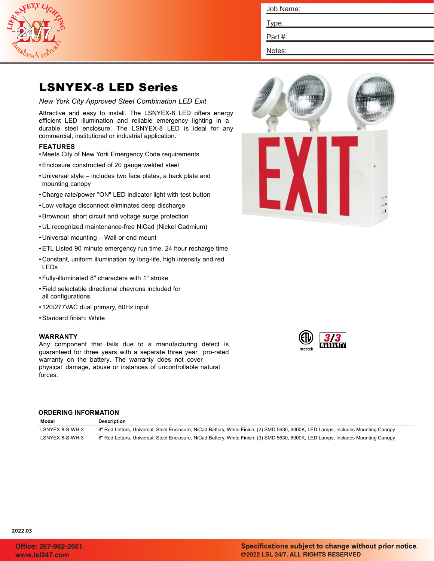

| Job Name: |  |
|-----------|--|
| Type:     |  |

Part #:

Notes:

# LSNYEX-8 LED Series

*New York City Approved Steel Combination LED Exit*

Attractive and easy to install. The LSNYEX-8 LED offers energy efficient LED illumination and reliable emergency lighting in a durable steel enclosure. The LSNYEX-8 LED is ideal for any commercial, institutional or industrial application.

# **FEATURES**

- Meets City of New York Emergency Code requirements
- •Enclosure constructed of 20 gauge welded steel
- Universal style includes two face plates, a back plate and mounting canopy
- Charge rate/power "ON" LED indicator light with test button
- Low voltage disconnect eliminates deep discharge
- •Brownout, short circuit and voltage surge protection
- UL recognized maintenance-free NiCad (Nickel Cadmium)
- Universal mounting Wall or end mount
- •ETL Listed 90 minute emergency run time, 24 hour recharge time
- Constant, uniform illumination by long-life, high intensity and red LEDs
- •Fully-illuminated 8" characters with 1" stroke
- •Field selectable directional chevrons included for all configurations
- 120/277VAC dual primary, 60Hz input
- •Standard finish: White

# **WARRANTY**

Any component that fails due to a manufacturing defect is guaranteed for three years with a separate three year pro-rated warranty on the battery. The warranty does not cover physical damage, abuse or instances of uncontrollable natural forces.

# **ORDERING INFORMATION**

| Model           | Description                                                                                                                       |
|-----------------|-----------------------------------------------------------------------------------------------------------------------------------|
| LSNYEX-8-S-WH-2 | 8" Red Letters, Universal, Steel Enclosure, NiCad Battery, White Finish, (2) SMD 5630, 6000K, LED Lamps, Includes Mounting Canopy |
| LSNYEX-8-S-WH-3 | 8" Red Letters, Universal, Steel Enclosure, NiCad Battery, White Finish, (3) SMD 5630, 6000K, LED Lamps, Includes Mounting Canopy |